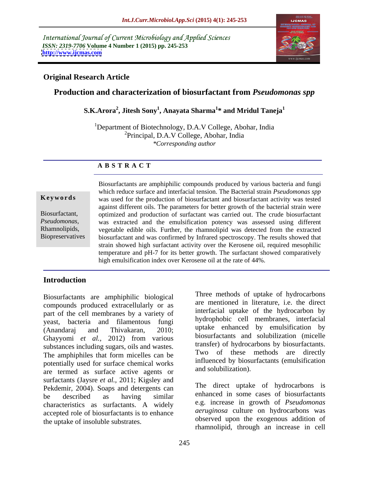International Journal of Current Microbiology and Applied Sciences *ISSN: 2319-7706* **Volume 4 Number 1 (2015) pp. 245-253 <http://www.ijcmas.com>**



## **Original Research Article**

## **Production and characterization of biosurfactant from** *Pseudomonas spp*

 $\mathbf{S. K. A rora}^{2}$ , Jitesh  $\mathbf{Sony}^{1}$ , Anayata Sharma $^{1*}$  and Mridul Taneja $^{1}$ **\* and Mridul Taneja<sup>1</sup>**

<sup>1</sup>Department of Biotechnology, D.A.V College, Abohar, India <sup>2</sup>Principal, D.A.V College, Abohar, India *\*Corresponding author* 

## **A B S T R A C T**

**Biopreservatives** 

Biosurfactants are amphiphilic compounds produced by various bacteria and fungi which reduce surface and interfacial tension. The Bacterial strain *Pseudomonas spp* **Keywords** was used for the production of biosurfactant and biosurfactant activity was tested against different oils. The parameters for better growth of the bacterial strain were Biosurfactant, optimized and production of surfactant was carried out. The crude biosurfactant Pseudomonas, was extracted and the emulsification potency was assessed using different Rhamnolipids, vegetable edible oils. Further, the rhamnolipid was detected from the extracted biosurfactant and was confirmed by Infrared spectroscopy. The results showed that strain showed high surfactant activity over the Kerosene oil, required mesophilic temperature and pH-7 for its better growth. The surfactant showed comparatively high emulsification index over Kerosene oil at the rate of 44%.

## **Introduction**

Biosurfactants are amphiphilic biological compounds produced extracellularly or as part of the cell membranes by a variety of yeast, bacteria and filamentous fungi (Anandaraj and Thivakaran, 2010; Ghayyomi *et al.,* 2012) from various substances including sugars, oils and wastes. The amphiphiles that form micelles can be potentially used for surface chemical works are termed as surface active agents or surfactants (Jaysre *et al.,* 2011; Kigsley and Pekdemir, 2004). Soaps and detergents can be described as having similar enhanced in some cases of prosurractants characteristics as surfactants. A widely accepted role of biosurfactants is to enhance the uptake of insoluble substrates.

Three methods of uptake of hydrocarbons are mentioned in literature, i.e. the direct interfacial uptake of the hydrocarbon by hydrophobic cell membranes, interfacial uptake enhanced by emulsification by biosurfactants and solubilization (micelle transfer) of hydrocarbons by biosurfactants. Two of these methods are directly influenced by biosurfactants (emulsification and solubilization).

The direct uptake of hydrocarbons is enhanced in some cases of biosurfactants e.g. increase in growth of *Pseudomonas aeruginosa* culture on hydrocarbons was observed upon the exogenous addition of rhamnolipid, through an increase in cell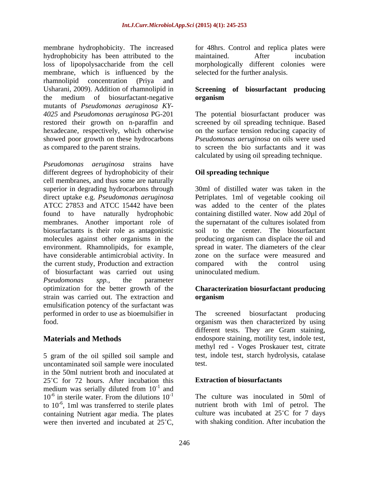membrane hydrophobicity. The increased hydrophobicity has been attributed to the maintained. After incubation loss of lipopolysaccharide from the cell morphologically different colonies were membrane, which is influenced by the rhamnolipid concentration (Priya and Usharani, 2009). Addition of rhamnolipid in **Screening of biosurfactant producing** the medium of biosurfactant-negative organism mutants of *Pseudomonas aeruginosa KY- 4025* and *Pseudomonas aeruginosa* PG-201 The potential biosurfactant producer was restored their growth on n-paraffin and screened by oil spreading technique. Based hexadecane, respectively, which otherwise on the surface tension reducing capacity of showed poor growth on these hydrocarbons *Pseudomonas aeruginosa* on oils were used

*Pseudomonas aeruginosa* strains have different degrees of hydrophobicity of their cell membranes, and thus some are naturally superior in degrading hydrocarbons through direct uptake e.g. *Pseudomonas aeruginosa* Petriplates. 1ml of vegetable cooking oil ATCC 27853 and ATCC 15442 have been was added to the center of the plates found to have naturally hydrophobic containing distilled water. Now add 20µl of membranes. Another important role of biosurfactants is their role as antagonistic molecules against other organisms in the producing organism can displace the oil and environment. Rhamnolipids, for example, have considerable antimicrobial activity. In the current study, Production and extraction compared with the control using of biosurfactant was carried out using *Pseudomonas spp.*, the parameter optimization for the better growth of the **Characterization biosurfactant producing** strain was carried out. The extraction and organism emulsification potency of the surfactant was performed in order to use as bioemulsifier in

5 gram of the oil spilled soil sample and uncontaminated soil sample were inoculated in the 50ml nutrient broth and inoculated at 25 C for 72 hours. After incubation this medium was serially diluted from  $10^{-1}$  and  $-1$  and to  $10^{-6}$ , 1ml was transferred to sterile plates containing Nutrient agar media. The plates were then inverted and incubated at 25<sup>°</sup>C.

for 48hrs. Control and replica plates were maintained. After incubation selected for the further analysis.

# **organism**

as compared to the parent strains. to screen the bio surfactants and it was calculated by using oil spreading technique.

## **Oil spreading technique**

30ml of distilled water was taken in the the supernatant of the cultures isolated from soil to the center. The biosurfactant spread in water. The diameters of the clear zone on the surface were measured and compared with the control using uninoculated medium.

# **organism**

food. organism was then characterized by using **Materials and Methods** endospore staining, motility test, indole test, screened biosurfactant producing different tests. They are Gram staining, methyl red - Voges Proskauer test, citrate test, indole test, starch hydrolysis, catalase test.

## **Extraction of biosurfactants**

and  $10^{-6}$  in sterile water. From the dilutions  $10^{-1}$  The culture was inoculated in 50ml of -1 The culture was inoculated in 50ml of -6 , 1ml was transferred to sterile plates nutrient broth with 1ml of petrol. The culture was incubated at  $25^{\circ}$ C for 7 days with shaking condition. After incubation the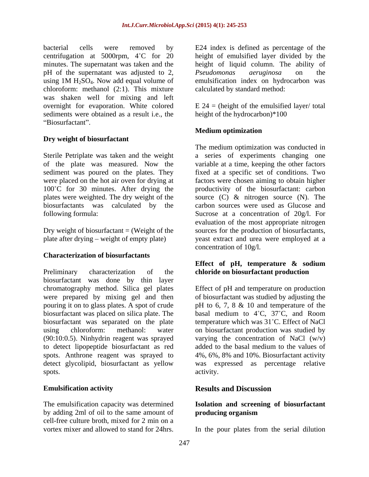pH of the supernatant was adjusted to 2, *Pseudomonas aeruginosa* on the chloroform: methanol (2:1). This mixture was shaken well for mixing and left overnight for evaporation. White colored E 24 = (height of the emulsified layer/ total sediments were obtained as a result i.e., the Biosurfactant".

## **Dry weight of biosurfactant**

Sterile Petriplate was taken and the weight of the plate was measured. Now the variable at a time, keeping the other factors sediment was poured on the plates. They fixed at a specific set of conditions. Two were placed on the hot air oven for drying at factors were chosen aiming to obtain higher 100 C for 30 minutes. After drying the productivity of the biosurfactant: carbon plates were weighted. The dry weight of the source (C) & nitrogen source (N). The biosurfactants was calculated by the following formula: Sucrose at a concentration of 20g/l. For

## **Characterization of biosurfactants**

Preliminary characterization of the **chloride on biosurfactant production** biosurfactant was done by thin layer chromatography method. Silica gel plates Effect of pH and temperature on production were prepared by mixing gel and then of biosurfactant was studied by adjusting the pouring it on to glass plates. A spot of crude pH to 6, 7, 8 & 10 and temperature of the biosurfactant was placed on silica plate. The basal medium to  $4^{\circ}C$ ,  $37^{\circ}C$ , and Room biosurfactant was separated on the plate temperature which was 31 °C. Effect of NaCl using chloroform: methanol: water on biosurfactant production was studied by (90:10:0.5). Ninhydrin reagent was sprayed varying the concentration of NaCl (w/v) to detect lipopeptide biosurfactant as red spots. Anthrone reagent was sprayed to 4%, 6%, 8% and 10%. Biosurfactant activity detect glycolipid, biosurfactant as yellow was expressed as percentage relative spots. activity.

The emulsification capacity was determined **Isolation and screening of biosurfactant** by adding 2ml of oil to the same amount of **producing organism** cell-free culture broth, mixed for 2 min on a vortex mixer and allowed to stand for 24hrs. In the pour plates from the serial dilution

bacterial cells were removed by E24 index is defined as percentage of the centrifugation at 5000rpm,  $4^{\circ}$ C for 20 height of emulsified layer divided by the minutes. The supernatant was taken and the height of liquid column. The ability of using  $1M H_2SO_4$ . Now add equal volume of emulsification index on hydrocarbon was *Pseudomonas aeruginosa* on the emulsification index on hydrocarbon was calculated by standard method:

height of the hydrocarbon)\*100

## **Medium optimization**

Dry weight of biosurfactant = (Weight of the sources for the production of biosurfactants, plate after drying weight of empty plate) yeast extract and urea were employed at a The medium optimization was conducted in a series of experiments changing one carbon sources were used as Glucose and evaluation of the most appropriate nitrogen concentration of 10g/l.

## **Effect of pH, temperature & sodium**

basal medium to  $4^{\circ}$ C,  $37^{\circ}$ C, and Room added to the basal medium to the values of activity.

### **Emulsification activity Results and Discussion**

# **producing organism**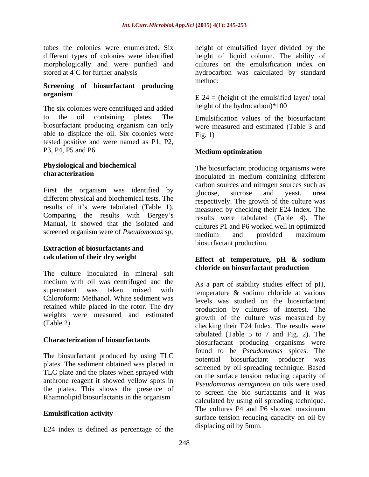morphologically and were purified and

## **Screening of biosurfactant producing organism** E 24 – (beight of the emulsified layer/ total

The six colonies were centrifuged and added to the oil containing plates. The Emulsification values of the biosurfactant biosurfactant producing organism can only were measured and estimated (Table 3 and able to displace the oil. Six colonies were Fig. 1) tested positive and were named as P1, P2, P3, P4, P5 and P6 **Medium optimization** 

# **Physiological and biochemical**

First the organism was identified by **Example 2** and the search of the search of the plucose, sucrose and veast, urea different physical and biochemical tests. The results of it's were tabulated (Table 1). Comparing the results with Bergey's Manual, it showed that the isolated and

# **Extraction of biosurfactants and**

The culture inoculated in mineral salt medium with oil was centrifuged and the supernatant was taken mixed with  $\frac{12}{10}$  examples the state of  $\frac{1}{2}$ , Chloroform: Methanol. White sediment was retained while placed in the rotor. The dry weights were measured and estimated

The biosurfactant produced by using TLC potential biosurfactant producer was plates. The sediment obtained was placed in TLC plate and the plates when sprayed with anthrone reagent it showed yellow spots in the plates. This shows the presence of Rhamnolipid biosurfactants in the organism

E24 index is defined as percentage of the

tubes the colonies were enumerated. Six height of emulsified layer divided by the different types of colonies were identified height of liquid column. The ability of stored at 4<sup>°</sup>C for further analysis hydrocarbon was calculated by standard cultures on the emulsification index on method: where  $\mathcal{L}$  is a set of  $\mathcal{L}$  is a set of  $\mathcal{L}$  is a set of  $\mathcal{L}$  is a set of  $\mathcal{L}$  is a set of  $\mathcal{L}$  is a set of  $\mathcal{L}$  is a set of  $\mathcal{L}$  is a set of  $\mathcal{L}$  is a set of  $\mathcal{L}$  is a set o

> $E$  24 = (height of the emulsified layer/ total height of the hydrocarbon)\*100

Fig. 1)

## **Medium optimization**

**characterization** inoculated in medium containing different screened organism were of *Pseudomonas sp*,<br>medium and provided maximum The biosurfactant producing organisms were carbon sources and nitrogen sources such as glucose, sucrose and yeast, urea respectively. The growth of the culture was measured by checking their E24 Index. The results were tabulated (Table 4). The cultures P1 and P6 worked well in optimized medium and provided maximum biosurfactant production.

### **calculation of their dry weight Effect of temperature, pH & sodium chloride on biosurfactant production**

(Table 2). checking their E24 Index. The results were **Characterization of biosurfactants** biosurfactant producing organisms were **Emulsification activity**<br>surface tension reducing capacity on oil by As a part of stability studies effect of pH, temperature & sodium chloride at various levels was studied on the biosurfactant production by cultures of interest. The growth of the culture was measured by tabulated (Table 5 to 7 and Fig. 2). The found to be *Pseudomonas* spices. The potential biosurfactant producer was screened by oil spreading technique. Based on the surface tension reducing capacity of *Pseudomonas aeruginosa* on oils were used to screen the bio surfactants and it was calculated by using oil spreading technique. The cultures P4 and P6 showed maximum displacing oil by 5mm.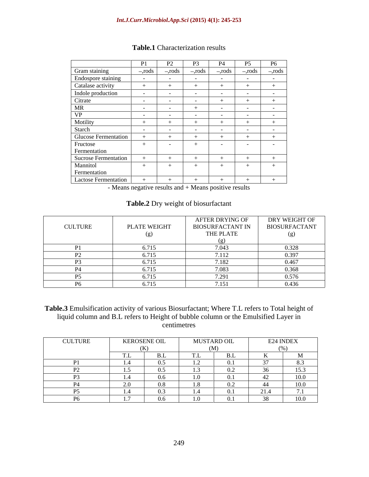|                             | P1         | $D^{\prime}$<br>$\sqrt{2}$ | P <sub>3</sub> | <b>P4</b>  | P5         | <b>P6</b>  |
|-----------------------------|------------|----------------------------|----------------|------------|------------|------------|
| Gram staining               | $-$ ,rods  | $-$ rods                   | $-r$ ods       | -,rods     | $-$ , rods | $-$ , rods |
| Endospore staining          |            |                            |                |            |            |            |
| Catalase activity           |            |                            |                |            |            |            |
| Indole production           |            |                            |                |            |            |            |
| Citrate                     |            |                            | - -            |            |            |            |
| <b>MR</b>                   | $\sim$ $-$ |                            |                | $\sim$ $-$ |            | $\sim$     |
| <b>VP</b>                   |            |                            |                |            |            |            |
| Motility                    |            |                            |                |            |            |            |
| Starch                      | $\sim$     | $\sim$ $\sim$              | $\sim$         | $\sim$     |            | $\sim$     |
| Glucose Fermentation        |            |                            |                |            |            |            |
| Fructose                    |            |                            |                | $\sim$     |            |            |
| Fermentation                |            |                            |                |            |            |            |
| <b>Sucrose Fermentation</b> |            |                            |                |            |            |            |
| Mannitol                    |            |                            | $^{+}$         | $+$        |            |            |
| Fermentation                |            |                            |                |            |            |            |
| <b>Lactose Fermentation</b> |            |                            |                |            |            |            |

### **Table.1** Characterization results

- Means negative results and + Means positive results

## **Table.2** Dry weight of biosurfactant

|                |              | AFTER DRYING OF         | DRY WEIGHT OF        |
|----------------|--------------|-------------------------|----------------------|
| <b>CULTURE</b> | PLATE WEIGHT | <b>BIOSURFACTANT IN</b> | <b>BIOSURFACTANT</b> |
|                |              | THE PLATE               |                      |
|                |              |                         |                      |
|                | 5.71         |                         | .328                 |
|                | 6.715        | 7.112                   | 0.397                |
|                | 571'         | 1 X                     | 0.467                |
|                | 6.715        |                         | 0.368                |
|                | 5715         | $\bigcap$               | 0.576                |
| DZ.            | 6.715        |                         | 0.436                |

**Table.3** Emulsification activity of various Biosurfactant; Where T.L refers to Total height of liquid column and B.L refers to Height of bubble column or the Emulsified Layer in centimetres exercises and the set of the set of the set of the set of the set of the set of the set of the set of the set of the set of the set of the set of the set of the set of the set of the set of the set of the set o

| <b>CULTURE</b> | <b>KEROSENE OIL</b> | <b>MUSTARD OIL</b><br>1.10011111 |              |      | E24 INDEX           |
|----------------|---------------------|----------------------------------|--------------|------|---------------------|
|                | (K)                 |                                  | $\mathbf{M}$ |      | (0)                 |
|                |                     |                                  | -RI<br>ப.ட   |      |                     |
| $\mathbf{D1}$  |                     |                                  | 0.1          |      | 8.3                 |
|                |                     |                                  |              |      | $\sim$ $ -$<br>15.3 |
|                |                     | - 1.0                            | 0.1          |      | 100                 |
|                |                     |                                  | V.L          | -44  | 100                 |
|                |                     |                                  | -0.1         | 21.4 |                     |
|                |                     |                                  |              |      | 100                 |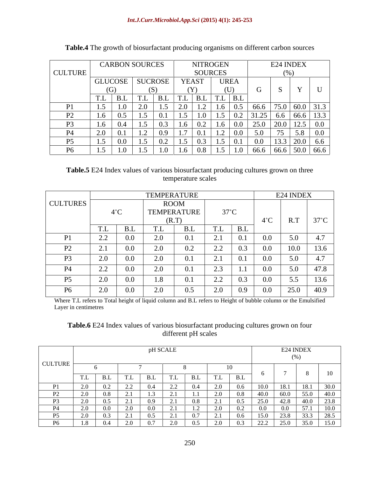|                | <b>CARBON SOURCES</b>                            |                |                               | NITROGEN       |                                      |                                 |               | E24 INDEX                                                                                        |
|----------------|--------------------------------------------------|----------------|-------------------------------|----------------|--------------------------------------|---------------------------------|---------------|--------------------------------------------------------------------------------------------------|
| <b>CULTURE</b> |                                                  |                |                               | <b>SOURCES</b> |                                      |                                 |               |                                                                                                  |
|                | <b>GLUCOSE</b>                                   | <b>SUCROSE</b> |                               | YEAST          | <b>UREA</b>                          |                                 |               |                                                                                                  |
|                |                                                  |                |                               |                |                                      |                                 |               |                                                                                                  |
|                | ப.ப                                              | T <sub>1</sub> | B.L                           | TL<br>B.L      | T<br>  B.I<br>1.L                    |                                 |               |                                                                                                  |
| D <sub>1</sub> |                                                  |                |                               |                | 1.6                                  | $\begin{array}{ c c }$ 0.5 66.6 | 75.0 60.0     | 313                                                                                              |
| $D^{\prime}$   |                                                  |                |                               | 1.5<br>1.0     | 1.5                                  |                                 |               | $\begin{array}{ c c c c c c c c c } \hline 0.2 & 31.25 & 6.6 & 66.6 & 13.3 \ \hline \end{array}$ |
| D <sub>3</sub> | ∪.-<br>1.U                                       |                | U.J<br>1.0                    | 0.2            | $\mid$ 0.0<br>1.6                    | 25.0                            | 20.0          | ⊥∠.J                                                                                             |
| <b>P4</b>      | $\mathcal{L}$ . $\mathbf{U}$<br>$\mathbf{v}$ . 1 | 1.Z            | $\mathbf{1} \cdot \mathbf{1}$ |                | 0.0<br>1.Z                           | 5.0                             |               |                                                                                                  |
| D5             | V.U                                              | . . J          | U.Z<br>$\cdot$                |                | 0.1<br>$1 \cdot 7$                   | 0.0 <sub>1</sub>                | $13.3 + 20.0$ | 0.6                                                                                              |
| D6             |                                                  |                |                               |                | 1.0<br>$\mathbf{L} \cdot \mathbf{L}$ | 66.6                            |               | $66.6$ 50.0 66.6                                                                                 |

**Table.4** The growth of biosurfactant producing organisms on different carbon sources

**Table.5** E24 Index values of various biosurfactant producing cultures grown on three temperature scales

|                            |                                                                             |                      | <b>TEMPERATURE</b> |                                                                        |               | E24 INDEX               |                |
|----------------------------|-----------------------------------------------------------------------------|----------------------|--------------------|------------------------------------------------------------------------|---------------|-------------------------|----------------|
| <b>CULTURES</b>            |                                                                             |                      | ROOM               |                                                                        |               |                         |                |
|                            | $4^{\circ}$ C                                                               |                      | TEMPERATURE        | $37^{\circ}$ C                                                         |               |                         |                |
|                            |                                                                             |                      | (R.T)              |                                                                        | $4^{\circ}$ C | R.T                     | $37^{\circ}$ C |
|                            | B.L<br>T<br>1.L                                                             | T.L                  | B.L                | $T$ T<br>B.L<br>1.L                                                    |               |                         |                |
| P <sub>1</sub>             | $\sim$ $\sim$<br>V.V<br>$\overline{\phantom{a}}$ . $\overline{\phantom{a}}$ | 2.0                  | 0.1                | $\sim$ 1<br>0.1<br>$\sim$ . 1                                          | $0.0\,$       | 50<br>$\cup$ . $\cup$   | $\overline{A}$ |
| D <sub>2</sub><br>$\perp$  | $\mathcal{L}$ . 1<br>v.v                                                    | 2.0                  | $0.2\,$            | $\Omega$<br>0.3<br>$\overline{\phantom{a}}$ . $\overline{\phantom{a}}$ | $0.0\,$       | 10.0                    | 13.6           |
| P <sub>3</sub>             | V.V<br>$\mathcal{L}$ . $\mathsf{U}$                                         | 2.0<br>$\sim$ $\sim$ | 0.1                | $\sim$ 1<br>0.1<br>$\mathcal{L}$ . 1                                   | $0.0\,$       | 50<br>J.V               | $\overline{a}$ |
| <b>P4</b>                  | $\overline{\phantom{a}}\,$<br>v.v                                           | 2.0                  | 0.1                | $\sim$ $\sim$<br>$\overline{\phantom{a}}$<br>.                         | 0.0           | $\cup \cdot \cup$       |                |
| $\overline{p}$<br><b>L</b> | $\angle$ .<br>v.v                                                           | 1.8                  | 0.1                | $\Omega$<br>0.3<br>$\angle$ . $\angle$                                 | $0.0\,$       | 55<br>$\cup \cdot \cup$ | 13.6           |
| <b>P6</b>                  | v.v<br>$\sim$ $\sim$                                                        | 2.0                  | 0.5                | 0.9<br>-2.0                                                            | $0.0\,$       | 25.0                    | 40.9           |

Where T.L refers to Total height of liquid column and B.L refers to Height of bubble column or the Emulsified Layer in centimetres

## **Table.6** E24 Index values of various biosurfactant producing cultures grown on four different pH scales

|                |  |  | pH SCALE                 |    |                |                     |      |               | E24 INDEX     |
|----------------|--|--|--------------------------|----|----------------|---------------------|------|---------------|---------------|
| <b>CULTURE</b> |  |  |                          |    |                |                     |      |               |               |
|                |  |  |                          |    |                |                     |      |               |               |
|                |  |  | 1.L                      |    | T.L            | $\mathbf{D}$ T      |      |               | $\mathbf{10}$ |
|                |  |  |                          |    |                |                     |      |               |               |
|                |  |  |                          |    |                |                     |      |               |               |
|                |  |  |                          |    |                |                     |      |               | റാറ           |
|                |  |  |                          |    |                |                     |      |               |               |
| DE.            |  |  |                          | 07 | $\sim$ 1       | $\bigcap$ $\subset$ | 150  | $\sim$ $\sim$ | $\bigcap$     |
|                |  |  | $\overline{\phantom{a}}$ |    | $\overline{ }$ | ,                   | LL.L | JJ.           |               |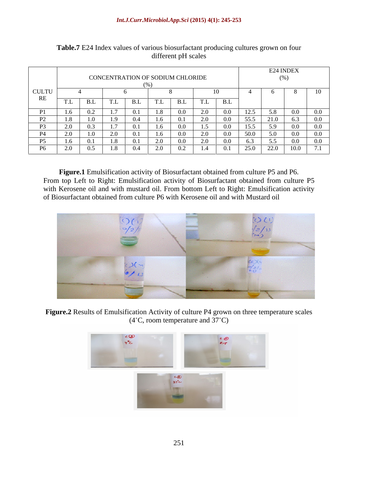|                                                   |        |     |         |                           |               |                                  |               |               |      |                | E24 INDEX |              |
|---------------------------------------------------|--------|-----|---------|---------------------------|---------------|----------------------------------|---------------|---------------|------|----------------|-----------|--------------|
|                                                   |        |     |         |                           |               | CONCENTRATION OF SODIUM CHLORIDE |               |               |      |                |           |              |
|                                                   |        |     |         |                           |               |                                  |               |               |      |                |           |              |
| <b>CULTU</b>                                      |        |     |         |                           |               |                                  |               |               |      |                |           | $\mathbf{r}$ |
| RE                                                | T<br>. | ப.ப | T.L     | $\mathbf{D}$ $\mathbf{I}$ | T<br>1.L      | ـر.                              | T.L           | B.L           |      |                |           |              |
|                                                   |        |     |         |                           |               | V.V                              |               |               |      |                |           |              |
| $\mathbf{D}$<br>and the control of the control of |        |     |         |                           |               | $\sim$ $\sim$                    | $\Omega$      | $\sim$ $\sim$ | 55 5 |                |           |              |
|                                                   |        |     | $\pm$ . |                           |               | U.U                              | 1.3           |               | 15.5 |                |           |              |
| $\mathbf{D}$<br>F4                                |        |     |         |                           |               | $\sim$                           | $\sim$ $\sim$ |               | 50 I |                |           |              |
|                                                   |        |     |         |                           |               | v.v                              |               |               |      |                |           |              |
| $\mathbf{R}$                                      |        |     | 1.8     | $\sim$ $\lambda$          | $\sim$ $\sim$ | $\Omega$<br>U.Z                  | 1.4           | $\bigcap$ 1   | 25.0 | $\sim$<br>22.0 | 10.0      | $\sqrt{7}$ 1 |

**Table.7** E24 Index values of various biosurfactant producing cultures grown on four different pH scales

**Figure.1** Emulsification activity of Biosurfactant obtained from culture P5 and P6. From top Left to Right: Emulsification activity of Biosurfactant obtained from culture P5 with Kerosene oil and with mustard oil. From bottom Left to Right: Emulsification activity of Biosurfactant obtained from culture P6 with Kerosene oil and with Mustard oil



**Figure.2** Results of Emulsification Activity of culture P4 grown on three temperature scales  $(4^{\circ}C,$  room temperature and  $37^{\circ}C)$ 

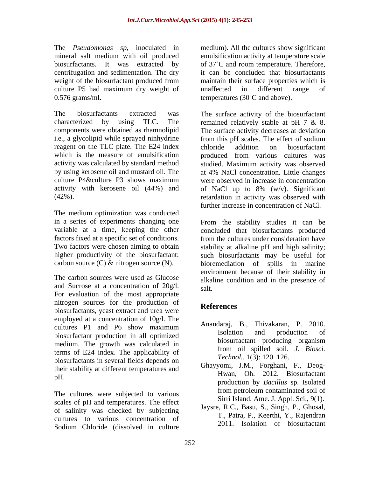The *Pseudomonas sp*, inoculated in medium). All the cultures show significant mineral salt medium with oil produced emulsification activity at temperature scale biosurfactants. It was extracted by of 37 C and room temperature. Therefore, centrifugation and sedimentation. The dry it can be concluded that biosurfactants weight of the biosurfactant produced from maintain their surface properties which is culture P5 had maximum dry weight of unaffected in different range of  $0.576$  grams/ml. temperatures (30 $^{\circ}$ C and above).

i.e., a glycolipid while sprayed ninhydrine from this pH scales. The effect of sodium reagent on the TLC plate. The E24 index chloride addition on biosurfactant which is the measure of emulsification by produced from various cultures was

The medium optimization was conducted

The carbon sources were used as Glucose and Sucrose at a concentration of 20g/l. For evaluation of the most appropriate nitrogen sources for the production of **References** biosurfactants, yeast extract and urea were employed at a concentration of 10g/l. The cultures P1 and P6 show maximum  $\frac{\text{Allallual}}{\text{All}}$ , D., IIIIvakatal, F. 2010. biosurfactant production in all optimized<br>medium. The growth was calculated in the biosurfactant producing organism medium. The growth was calculated in<br>to the product of the endicatellity of the media of the ending of the ending of the state of the state of the state of the state of the state of the state of the state of the state of t terms of E24 index. The applicability of from on spined son.<br> *Technol.*, 1(3): 120–126. biosurfactants in several fields depends on their stability at different temperatures and men suisincy at american emperatures and Hwan, Oh. 2012. Biosurfactant

scales of pH and temperatures. The effect of salinity was checked by subjecting cultures to various concentration of Sodium Chloride (dissolved in culture

maintain their surface properties which is unaffected in different range of temperatures (30 $^{\circ}$ C and above).

The biosurfactants extracted was The surface activity of the biosurfactant characterized by using TLC. The remained relatively stable at pH 7 & 8. components were obtained as rhamnolipid The surface activity decreases at deviation activity was calculated by standard method studied. Maximum activity was observed by using kerosene oil and mustard oil. The at 4% NaCl concentration. Little changes culture P4&culture P3 shows maximum activity with kerosene oil (44%) and of NaCl up to 8% (w/v). Significant (42%). retardation in activity was observed with from this pH scales. The effect of sodium chloride addition on biosurfactant produced from various cultures was were observed in increase in concentration further increase in concentration of NaCl.

in a series of experiments changing one From the stability studies it can be variable at a time, keeping the other concluded that biosurfactants produced factors fixed at a specific set of conditions. from the cultures under consideration have Two factors were chosen aiming to obtain stability at alkaline pH and high salinity; higher productivity of the biosurfactant: such biosurfactants may be useful for carbon source (C) & nitrogen source (N). bioremediation of spills in marine environment because of their stability in alkaline condition and in the presence of salt.

## **References**

- Anandaraj, B., Thivakaran, P. 2010. Isolation and production of biosurfactant producing organism from oil spilled soil. *J. Biosci. Technol.,* 1(3): 120–126.
- The cultures were subjected to various from petroleum contaminated soil of Ghayyomi, J.M., Forghani, F., Deog production by *Bacillus* sp. Isolated from petroleum contaminated soil of Sirri Island. Ame. J. Appl. Sci., 9(1).
	- Jaysre, R.C., Basu, S., Singh, P., Ghosal, T., Patra, P., Keerthi, Y., Rajendran 2011. Isolation of biosurfactant